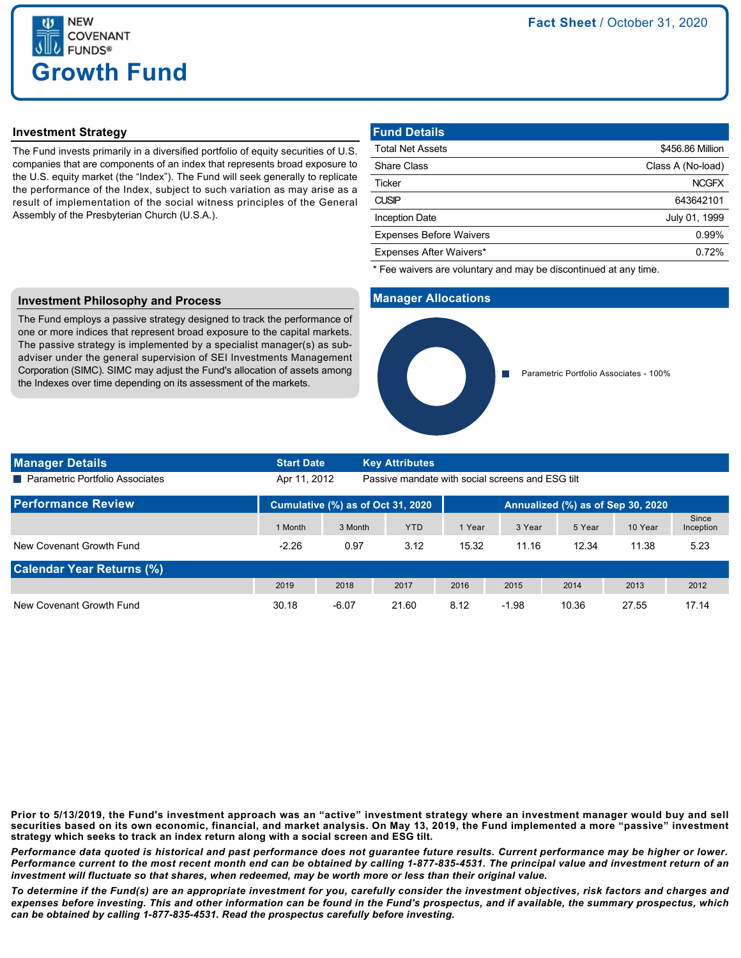

## **Investment Strategy**

The Fund invests primarily in a diversified portfolio of equity securities of U.S. companies that are components of an index that represents broad exposure to the U.S. equity market (the "Index"). The Fund will seek generally to replicate the performance of the Index, subject to such variation as may arise as a result of implementation of the social witness principles of the General Assembly of the Presbyterian Church (U.S.A.).

| <b>Fund Details</b>            |                   |
|--------------------------------|-------------------|
| <b>Total Net Assets</b>        | \$456.86 Million  |
| <b>Share Class</b>             | Class A (No-load) |
| <b>Ticker</b>                  | <b>NCGFX</b>      |
| <b>CUSIP</b>                   | 643642101         |
| <b>Inception Date</b>          | July 01, 1999     |
| <b>Expenses Before Waivers</b> | 0.99%             |
| Expenses After Waivers*        | 0.72%             |

\* Fee waivers are voluntary and may be discontinued at any time.

### **Manager Allocations**



# **Investment Philosophy and Process**

The Fund employs a passive strategy designed to track the performance of one or more indices that represent broad exposure to the capital markets. The passive strategy is implemented by a specialist manager(s) as subadviser under the general supervision of SEI Investments Management Corporation (SIMC). SIMC may adjust the Fund's allocation of assets among the Indexes over time depending on its assessment of the markets.

| <b>Manager Details</b>            | <b>Start Date</b>                                                |         | <b>Key Attributes</b> |                                   |         |        |         |                    |
|-----------------------------------|------------------------------------------------------------------|---------|-----------------------|-----------------------------------|---------|--------|---------|--------------------|
| ■ Parametric Portfolio Associates | Passive mandate with social screens and ESG tilt<br>Apr 11, 2012 |         |                       |                                   |         |        |         |                    |
| <b>Performance Review</b>         | Cumulative (%) as of Oct 31, 2020                                |         |                       | Annualized (%) as of Sep 30, 2020 |         |        |         |                    |
|                                   | 1 Month                                                          | 3 Month | <b>YTD</b>            | 1 Year                            | 3 Year  | 5 Year | 10 Year | Since<br>Inception |
| New Covenant Growth Fund          | $-2.26$                                                          | 0.97    | 3.12                  | 15.32                             | 11.16   | 12.34  | 11.38   | 5.23               |
| <b>Calendar Year Returns (%)</b>  |                                                                  |         |                       |                                   |         |        |         |                    |
|                                   | 2019                                                             | 2018    | 2017                  | 2016                              | 2015    | 2014   | 2013    | 2012               |
| New Covenant Growth Fund          | 30.18                                                            | $-6.07$ | 21.60                 | 8.12                              | $-1.98$ | 10.36  | 27.55   | 17.14              |

**Prior to 5/13/2019, the Fund's investment approach was an "active" investment strategy where an investment manager would buy and sell securities based on its own economic, financial, and market analysis. On May 13, 2019, the Fund implemented a more "passive" investment strategy which seeks to track an index return along with a social screen and ESG tilt.**

*Performance data quoted is historical and past performance does not guarantee future results. Current performance may be higher or lower. Performance current to the most recent month end can be obtained by calling 1-877-835-4531. The principal value and investment return of an investment will fluctuate so that shares, when redeemed, may be worth more or less than their original value.*

*To determine if the Fund(s) are an appropriate investment for you, carefully consider the investment objectives, risk factors and charges and expenses before investing. This and other information can be found in the Fund's prospectus, and if available, the summary prospectus, which can be obtained by calling 1-877-835-4531. Read the prospectus carefully before investing.*